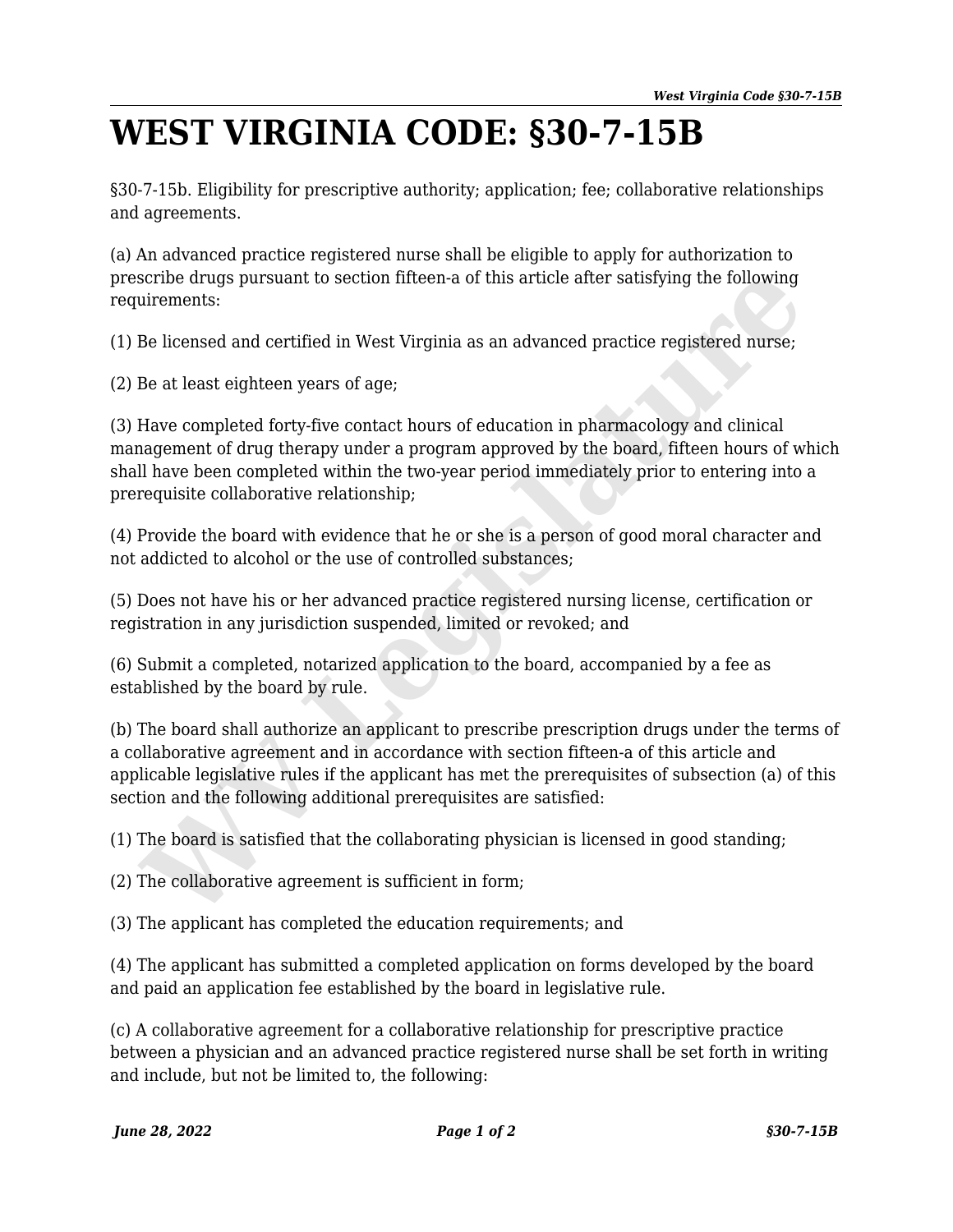## **WEST VIRGINIA CODE: §30-7-15B**

§30-7-15b. Eligibility for prescriptive authority; application; fee; collaborative relationships and agreements.

(a) An advanced practice registered nurse shall be eligible to apply for authorization to prescribe drugs pursuant to section fifteen-a of this article after satisfying the following requirements:

(1) Be licensed and certified in West Virginia as an advanced practice registered nurse;

(2) Be at least eighteen years of age;

(3) Have completed forty-five contact hours of education in pharmacology and clinical management of drug therapy under a program approved by the board, fifteen hours of which shall have been completed within the two-year period immediately prior to entering into a prerequisite collaborative relationship; scribe drugs pursuant to section fifteen-a of this article after satisfying the following<br>uirements:<br>Be licensed and certified in West Virginia as an advanced practice registered nurse;<br>Be at least eighteen years of age;<br>H

(4) Provide the board with evidence that he or she is a person of good moral character and not addicted to alcohol or the use of controlled substances;

(5) Does not have his or her advanced practice registered nursing license, certification or registration in any jurisdiction suspended, limited or revoked; and

(6) Submit a completed, notarized application to the board, accompanied by a fee as established by the board by rule.

(b) The board shall authorize an applicant to prescribe prescription drugs under the terms of a collaborative agreement and in accordance with section fifteen-a of this article and applicable legislative rules if the applicant has met the prerequisites of subsection (a) of this section and the following additional prerequisites are satisfied:

(1) The board is satisfied that the collaborating physician is licensed in good standing;

(2) The collaborative agreement is sufficient in form;

(3) The applicant has completed the education requirements; and

(4) The applicant has submitted a completed application on forms developed by the board and paid an application fee established by the board in legislative rule.

(c) A collaborative agreement for a collaborative relationship for prescriptive practice between a physician and an advanced practice registered nurse shall be set forth in writing and include, but not be limited to, the following: